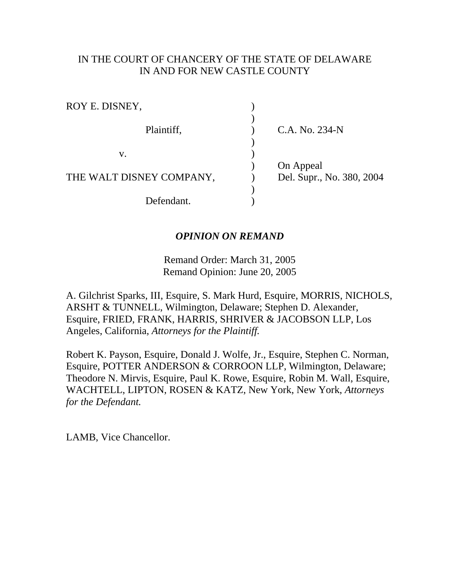# IN THE COURT OF CHANCERY OF THE STATE OF DELAWARE IN AND FOR NEW CASTLE COUNTY

| ROY E. DISNEY,           |                           |
|--------------------------|---------------------------|
| Plaintiff,               |                           |
|                          | C.A. No. 234-N            |
|                          |                           |
| V.                       |                           |
|                          | On Appeal                 |
| THE WALT DISNEY COMPANY, | Del. Supr., No. 380, 2004 |
|                          |                           |
| Defendant.               |                           |

#### *OPINION ON REMAND*

Remand Order: March 31, 2005 Remand Opinion: June 20, 2005

A. Gilchrist Sparks, III, Esquire, S. Mark Hurd, Esquire, MORRIS, NICHOLS, ARSHT & TUNNELL, Wilmington, Delaware; Stephen D. Alexander, Esquire, FRIED, FRANK, HARRIS, SHRIVER & JACOBSON LLP, Los Angeles, California, *Attorneys for the Plaintiff.*

Robert K. Payson, Esquire, Donald J. Wolfe, Jr., Esquire, Stephen C. Norman, Esquire, POTTER ANDERSON & CORROON LLP, Wilmington, Delaware; Theodore N. Mirvis, Esquire, Paul K. Rowe, Esquire, Robin M. Wall, Esquire, WACHTELL, LIPTON, ROSEN & KATZ, New York, New York, *Attorneys for the Defendant.*

LAMB, Vice Chancellor.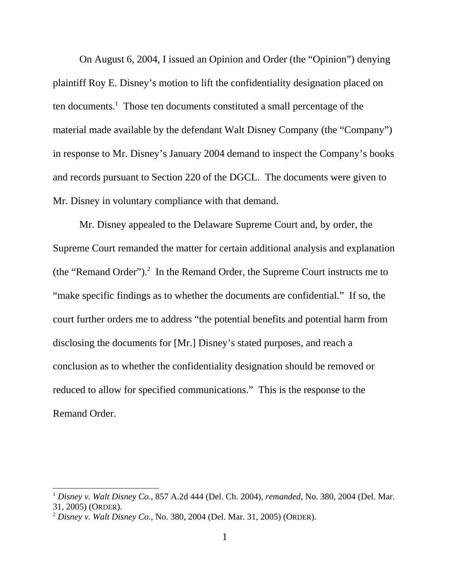On August 6, 2004, I issued an Opinion and Order (the "Opinion") denying plaintiff Roy E. Disney's motion to lift the confidentiality designation placed on ten documents.<sup>1</sup> Those ten documents constituted a small percentage of the material made available by the defendant Walt Disney Company (the "Company") in response to Mr. Disney's January 2004 demand to inspect the Company's books and records pursuant to Section 220 of the DGCL. The documents were given to Mr. Disney in voluntary compliance with that demand.

Mr. Disney appealed to the Delaware Supreme Court and, by order, the Supreme Court remanded the matter for certain additional analysis and explanation (the "Remand Order").<sup>2</sup> In the Remand Order, the Supreme Court instructs me to "make specific findings as to whether the documents are confidential." If so, the court further orders me to address "the potential benefits and potential harm from disclosing the documents for [Mr.] Disney's stated purposes, and reach a conclusion as to whether the confidentiality designation should be removed or reduced to allow for specified communications." This is the response to the Remand Order.

<sup>1</sup> *Disney v. Walt Disney Co.*, 857 A.2d 444 (Del. Ch. 2004), *remanded*, No. 380, 2004 (Del. Mar. 31, 2005) (ORDER).

<sup>2</sup> *Disney v. Walt Disney Co.*, No. 380, 2004 (Del. Mar. 31, 2005) (ORDER).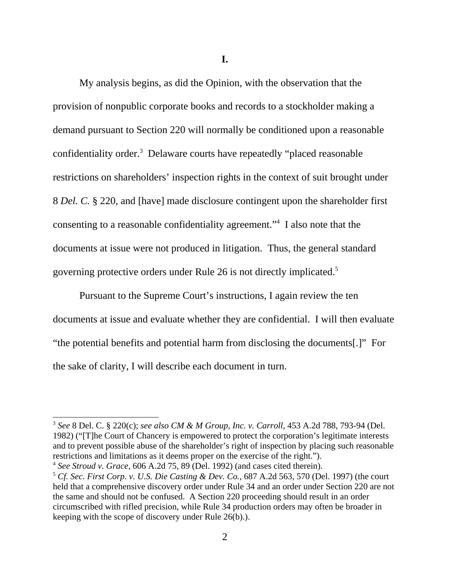**I.**

My analysis begins, as did the Opinion, with the observation that the provision of nonpublic corporate books and records to a stockholder making a demand pursuant to Section 220 will normally be conditioned upon a reasonable confidentiality order.<sup>3</sup> Delaware courts have repeatedly "placed reasonable restrictions on shareholders' inspection rights in the context of suit brought under 8 *Del. C.* § 220, and [have] made disclosure contingent upon the shareholder first consenting to a reasonable confidentiality agreement."4 I also note that the documents at issue were not produced in litigation. Thus, the general standard governing protective orders under Rule 26 is not directly implicated.5

Pursuant to the Supreme Court's instructions, I again review the ten documents at issue and evaluate whether they are confidential. I will then evaluate "the potential benefits and potential harm from disclosing the documents[.]" For the sake of clarity, I will describe each document in turn.

<sup>3</sup> *See* 8 Del. C. § 220(c); *see also CM & M Group, Inc. v. Carroll*, 453 A.2d 788, 793-94 (Del. 1982) ("[T]he Court of Chancery is empowered to protect the corporation's legitimate interests and to prevent possible abuse of the shareholder's right of inspection by placing such reasonable restrictions and limitations as it deems proper on the exercise of the right.").

<sup>4</sup> *See Stroud v. Grace*, 606 A.2d 75, 89 (Del. 1992) (and cases cited therein).

<sup>5</sup> *Cf. Sec. First Corp. v. U.S. Die Casting & Dev. Co.*, 687 A.2d 563, 570 (Del. 1997) (the court held that a comprehensive discovery order under Rule 34 and an order under Section 220 are not the same and should not be confused. A Section 220 proceeding should result in an order circumscribed with rifled precision, while Rule 34 production orders may often be broader in keeping with the scope of discovery under Rule 26(b).).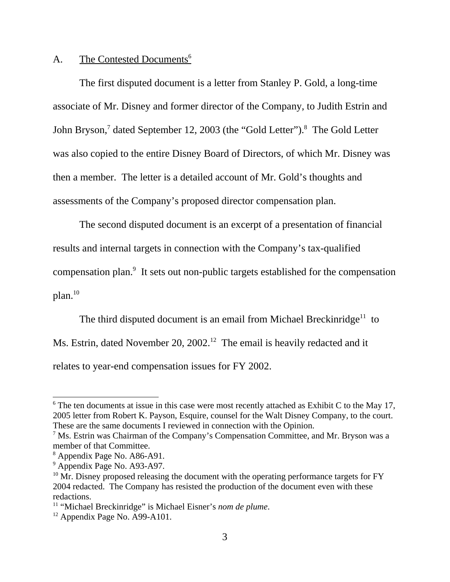# A. The Contested Documents<sup>6</sup>

The first disputed document is a letter from Stanley P. Gold, a long-time associate of Mr. Disney and former director of the Company, to Judith Estrin and John Bryson,<sup>7</sup> dated September 12, 2003 (the "Gold Letter").<sup>8</sup> The Gold Letter was also copied to the entire Disney Board of Directors, of which Mr. Disney was then a member. The letter is a detailed account of Mr. Gold's thoughts and assessments of the Company's proposed director compensation plan.

The second disputed document is an excerpt of a presentation of financial results and internal targets in connection with the Company's tax-qualified compensation plan.<sup>9</sup> It sets out non-public targets established for the compensation  $plan.<sup>10</sup>$ 

The third disputed document is an email from Michael Breckinridge<sup>11</sup> to Ms. Estrin, dated November 20, 2002.<sup>12</sup> The email is heavily redacted and it relates to year-end compensation issues for FY 2002.

 $6$  The ten documents at issue in this case were most recently attached as Exhibit C to the May 17, 2005 letter from Robert K. Payson, Esquire, counsel for the Walt Disney Company, to the court. These are the same documents I reviewed in connection with the Opinion.

<sup>&</sup>lt;sup>7</sup> Ms. Estrin was Chairman of the Company's Compensation Committee, and Mr. Bryson was a member of that Committee.

<sup>8</sup> Appendix Page No. A86-A91.

<sup>&</sup>lt;sup>9</sup> Appendix Page No. A93-A97.

 $10$  Mr. Disney proposed releasing the document with the operating performance targets for FY 2004 redacted. The Company has resisted the production of the document even with these redactions.

<sup>&</sup>lt;sup>11</sup> "Michael Breckinridge" is Michael Eisner's *nom de plume*.<br><sup>12</sup> Appendix Page No. A99-A101.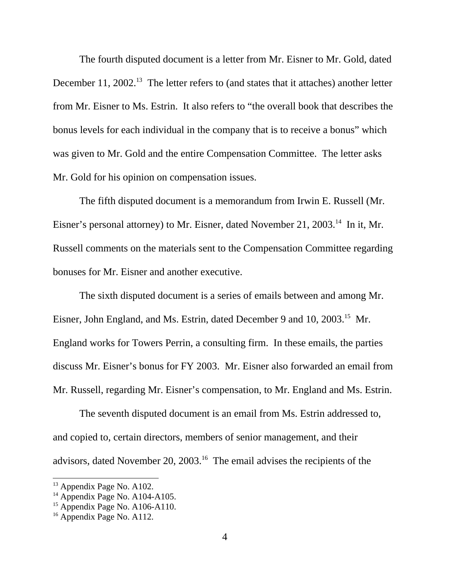The fourth disputed document is a letter from Mr. Eisner to Mr. Gold, dated December 11, 2002.<sup>13</sup> The letter refers to (and states that it attaches) another letter from Mr. Eisner to Ms. Estrin. It also refers to "the overall book that describes the bonus levels for each individual in the company that is to receive a bonus" which was given to Mr. Gold and the entire Compensation Committee. The letter asks Mr. Gold for his opinion on compensation issues.

The fifth disputed document is a memorandum from Irwin E. Russell (Mr. Eisner's personal attorney) to Mr. Eisner, dated November 21, 2003.<sup>14</sup> In it, Mr. Russell comments on the materials sent to the Compensation Committee regarding bonuses for Mr. Eisner and another executive.

The sixth disputed document is a series of emails between and among Mr. Eisner, John England, and Ms. Estrin, dated December 9 and 10, 2003.<sup>15</sup> Mr. England works for Towers Perrin, a consulting firm. In these emails, the parties discuss Mr. Eisner's bonus for FY 2003. Mr. Eisner also forwarded an email from Mr. Russell, regarding Mr. Eisner's compensation, to Mr. England and Ms. Estrin.

The seventh disputed document is an email from Ms. Estrin addressed to, and copied to, certain directors, members of senior management, and their advisors, dated November 20, 2003.16 The email advises the recipients of the

<sup>&</sup>lt;sup>13</sup> Appendix Page No. A102.

 $14$  Appendix Page No. A104-A105.

 $15$  Appendix Page No. A106-A110.

<sup>&</sup>lt;sup>16</sup> Appendix Page No. A112.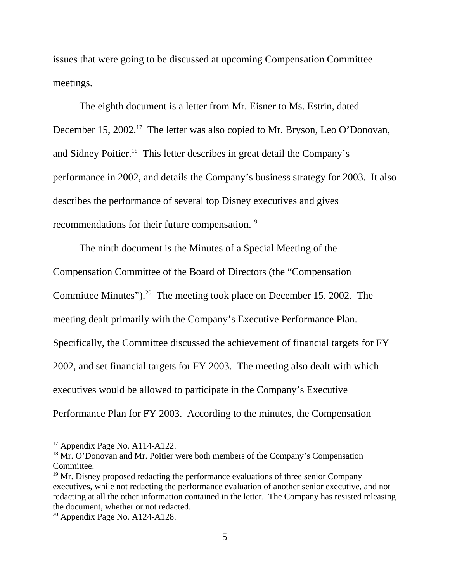issues that were going to be discussed at upcoming Compensation Committee meetings.

The eighth document is a letter from Mr. Eisner to Ms. Estrin, dated December 15, 2002.<sup>17</sup> The letter was also copied to Mr. Bryson, Leo O'Donovan, and Sidney Poitier.18 This letter describes in great detail the Company's performance in 2002, and details the Company's business strategy for 2003. It also describes the performance of several top Disney executives and gives recommendations for their future compensation.19

The ninth document is the Minutes of a Special Meeting of the Compensation Committee of the Board of Directors (the "Compensation Committee Minutes").<sup>20</sup> The meeting took place on December 15, 2002. The meeting dealt primarily with the Company's Executive Performance Plan. Specifically, the Committee discussed the achievement of financial targets for FY 2002, and set financial targets for FY 2003. The meeting also dealt with which executives would be allowed to participate in the Company's Executive Performance Plan for FY 2003. According to the minutes, the Compensation

 $17$  Appendix Page No. A114-A122.

<sup>&</sup>lt;sup>18</sup> Mr. O'Donovan and Mr. Poitier were both members of the Company's Compensation Committee.

 $19$  Mr. Disney proposed redacting the performance evaluations of three senior Company executives, while not redacting the performance evaluation of another senior executive, and not redacting at all the other information contained in the letter. The Company has resisted releasing the document, whether or not redacted.

 $20$  Appendix Page No. A124-A128.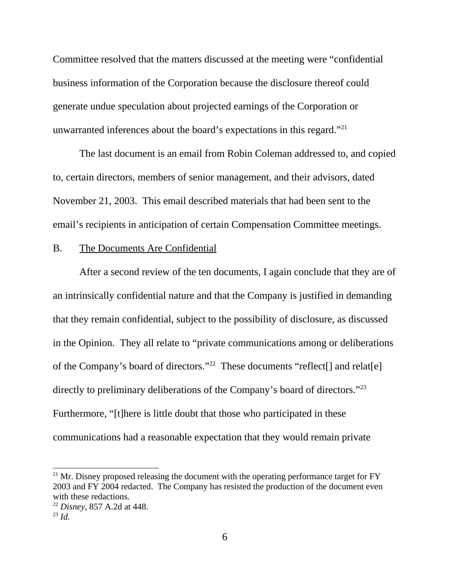Committee resolved that the matters discussed at the meeting were "confidential business information of the Corporation because the disclosure thereof could generate undue speculation about projected earnings of the Corporation or unwarranted inferences about the board's expectations in this regard."21

The last document is an email from Robin Coleman addressed to, and copied to, certain directors, members of senior management, and their advisors, dated November 21, 2003. This email described materials that had been sent to the email's recipients in anticipation of certain Compensation Committee meetings.

### B. The Documents Are Confidential

After a second review of the ten documents, I again conclude that they are of an intrinsically confidential nature and that the Company is justified in demanding that they remain confidential, subject to the possibility of disclosure, as discussed in the Opinion. They all relate to "private communications among or deliberations of the Company's board of directors."<sup>22</sup> These documents "reflect<sup>[]</sup> and relat<sup>[e]</sup> directly to preliminary deliberations of the Company's board of directors."<sup>23</sup> Furthermore, "[t]here is little doubt that those who participated in these communications had a reasonable expectation that they would remain private

 $^{21}$  Mr. Disney proposed releasing the document with the operating performance target for FY 2003 and FY 2004 redacted. The Company has resisted the production of the document even with these redactions.

<sup>22</sup> *Disney*, 857 A.2d at 448.

<sup>23</sup> *Id.*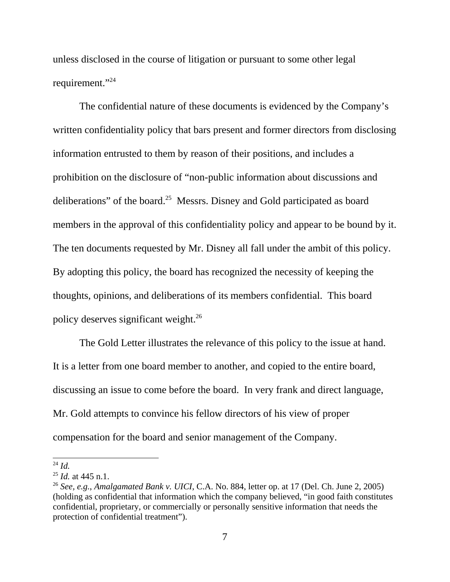unless disclosed in the course of litigation or pursuant to some other legal requirement."24

The confidential nature of these documents is evidenced by the Company's written confidentiality policy that bars present and former directors from disclosing information entrusted to them by reason of their positions, and includes a prohibition on the disclosure of "non-public information about discussions and deliberations" of the board.25 Messrs. Disney and Gold participated as board members in the approval of this confidentiality policy and appear to be bound by it. The ten documents requested by Mr. Disney all fall under the ambit of this policy. By adopting this policy, the board has recognized the necessity of keeping the thoughts, opinions, and deliberations of its members confidential. This board policy deserves significant weight.26

The Gold Letter illustrates the relevance of this policy to the issue at hand. It is a letter from one board member to another, and copied to the entire board, discussing an issue to come before the board. In very frank and direct language, Mr. Gold attempts to convince his fellow directors of his view of proper compensation for the board and senior management of the Company.

<sup>24</sup> *Id.*

<sup>25</sup> *Id.* at 445 n.1.

<sup>26</sup> *See, e.g.*, *Amalgamated Bank v. UICI*, C.A. No. 884, letter op. at 17 (Del. Ch. June 2, 2005) (holding as confidential that information which the company believed, "in good faith constitutes confidential, proprietary, or commercially or personally sensitive information that needs the protection of confidential treatment").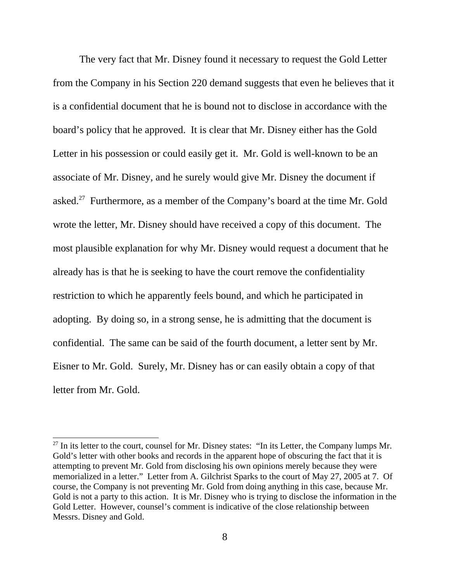The very fact that Mr. Disney found it necessary to request the Gold Letter from the Company in his Section 220 demand suggests that even he believes that it is a confidential document that he is bound not to disclose in accordance with the board's policy that he approved. It is clear that Mr. Disney either has the Gold Letter in his possession or could easily get it. Mr. Gold is well-known to be an associate of Mr. Disney, and he surely would give Mr. Disney the document if asked.<sup>27</sup> Furthermore, as a member of the Company's board at the time Mr. Gold wrote the letter, Mr. Disney should have received a copy of this document. The most plausible explanation for why Mr. Disney would request a document that he already has is that he is seeking to have the court remove the confidentiality restriction to which he apparently feels bound, and which he participated in adopting. By doing so, in a strong sense, he is admitting that the document is confidential. The same can be said of the fourth document, a letter sent by Mr. Eisner to Mr. Gold. Surely, Mr. Disney has or can easily obtain a copy of that letter from Mr. Gold.

 $27$  In its letter to the court, counsel for Mr. Disney states: "In its Letter, the Company lumps Mr. Gold's letter with other books and records in the apparent hope of obscuring the fact that it is attempting to prevent Mr. Gold from disclosing his own opinions merely because they were memorialized in a letter." Letter from A. Gilchrist Sparks to the court of May 27, 2005 at 7. Of course, the Company is not preventing Mr. Gold from doing anything in this case, because Mr. Gold is not a party to this action. It is Mr. Disney who is trying to disclose the information in the Gold Letter. However, counsel's comment is indicative of the close relationship between Messrs. Disney and Gold.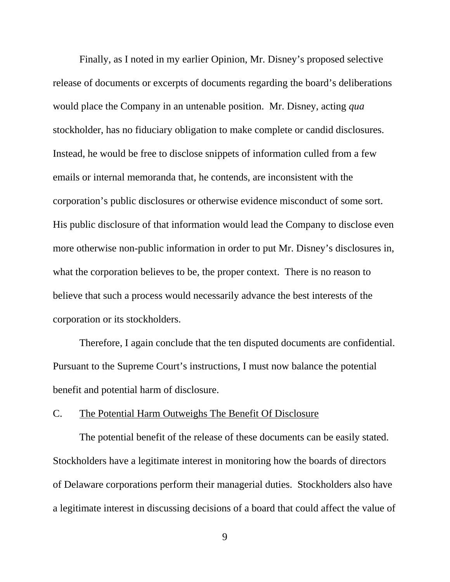Finally, as I noted in my earlier Opinion, Mr. Disney's proposed selective release of documents or excerpts of documents regarding the board's deliberations would place the Company in an untenable position. Mr. Disney, acting *qua* stockholder, has no fiduciary obligation to make complete or candid disclosures. Instead, he would be free to disclose snippets of information culled from a few emails or internal memoranda that, he contends, are inconsistent with the corporation's public disclosures or otherwise evidence misconduct of some sort. His public disclosure of that information would lead the Company to disclose even more otherwise non-public information in order to put Mr. Disney's disclosures in, what the corporation believes to be, the proper context. There is no reason to believe that such a process would necessarily advance the best interests of the corporation or its stockholders.

Therefore, I again conclude that the ten disputed documents are confidential. Pursuant to the Supreme Court's instructions, I must now balance the potential benefit and potential harm of disclosure.

#### C. The Potential Harm Outweighs The Benefit Of Disclosure

The potential benefit of the release of these documents can be easily stated. Stockholders have a legitimate interest in monitoring how the boards of directors of Delaware corporations perform their managerial duties. Stockholders also have a legitimate interest in discussing decisions of a board that could affect the value of

9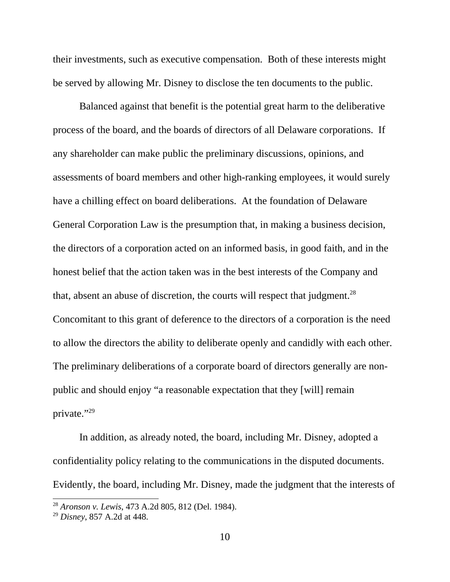their investments, such as executive compensation. Both of these interests might be served by allowing Mr. Disney to disclose the ten documents to the public.

Balanced against that benefit is the potential great harm to the deliberative process of the board, and the boards of directors of all Delaware corporations. If any shareholder can make public the preliminary discussions, opinions, and assessments of board members and other high-ranking employees, it would surely have a chilling effect on board deliberations. At the foundation of Delaware General Corporation Law is the presumption that, in making a business decision, the directors of a corporation acted on an informed basis, in good faith, and in the honest belief that the action taken was in the best interests of the Company and that, absent an abuse of discretion, the courts will respect that judgment.<sup>28</sup> Concomitant to this grant of deference to the directors of a corporation is the need to allow the directors the ability to deliberate openly and candidly with each other. The preliminary deliberations of a corporate board of directors generally are nonpublic and should enjoy "a reasonable expectation that they [will] remain private."29

In addition, as already noted, the board, including Mr. Disney, adopted a confidentiality policy relating to the communications in the disputed documents. Evidently, the board, including Mr. Disney, made the judgment that the interests of

<sup>28</sup> *Aronson v. Lewis*, 473 A.2d 805, 812 (Del. 1984).

<sup>29</sup> *Disney*, 857 A.2d at 448.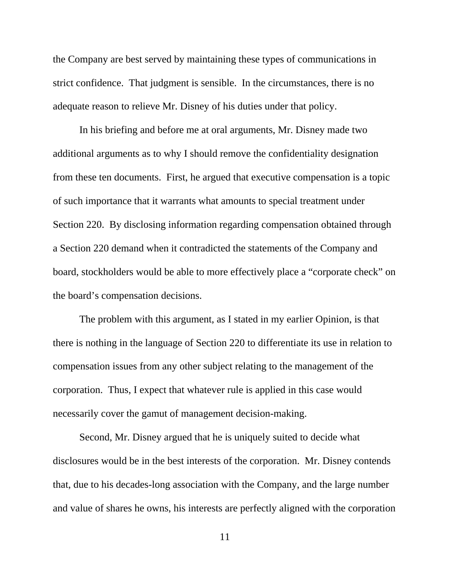the Company are best served by maintaining these types of communications in strict confidence. That judgment is sensible. In the circumstances, there is no adequate reason to relieve Mr. Disney of his duties under that policy.

In his briefing and before me at oral arguments, Mr. Disney made two additional arguments as to why I should remove the confidentiality designation from these ten documents. First, he argued that executive compensation is a topic of such importance that it warrants what amounts to special treatment under Section 220. By disclosing information regarding compensation obtained through a Section 220 demand when it contradicted the statements of the Company and board, stockholders would be able to more effectively place a "corporate check" on the board's compensation decisions.

The problem with this argument, as I stated in my earlier Opinion, is that there is nothing in the language of Section 220 to differentiate its use in relation to compensation issues from any other subject relating to the management of the corporation. Thus, I expect that whatever rule is applied in this case would necessarily cover the gamut of management decision-making.

Second, Mr. Disney argued that he is uniquely suited to decide what disclosures would be in the best interests of the corporation. Mr. Disney contends that, due to his decades-long association with the Company, and the large number and value of shares he owns, his interests are perfectly aligned with the corporation

11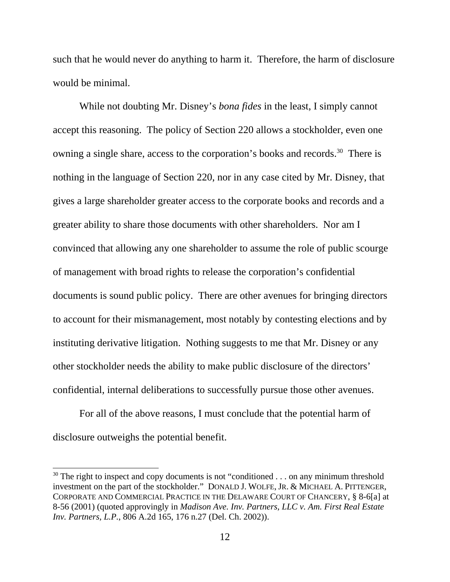such that he would never do anything to harm it. Therefore, the harm of disclosure would be minimal.

While not doubting Mr. Disney's *bona fides* in the least, I simply cannot accept this reasoning. The policy of Section 220 allows a stockholder, even one owning a single share, access to the corporation's books and records.<sup>30</sup> There is nothing in the language of Section 220, nor in any case cited by Mr. Disney, that gives a large shareholder greater access to the corporate books and records and a greater ability to share those documents with other shareholders. Nor am I convinced that allowing any one shareholder to assume the role of public scourge of management with broad rights to release the corporation's confidential documents is sound public policy. There are other avenues for bringing directors to account for their mismanagement, most notably by contesting elections and by instituting derivative litigation. Nothing suggests to me that Mr. Disney or any other stockholder needs the ability to make public disclosure of the directors' confidential, internal deliberations to successfully pursue those other avenues.

For all of the above reasons, I must conclude that the potential harm of disclosure outweighs the potential benefit.

 $30$  The right to inspect and copy documents is not "conditioned . . . on any minimum threshold investment on the part of the stockholder." DONALD J. WOLFE, JR. & MICHAEL A. PITTENGER, CORPORATE AND COMMERCIAL PRACTICE IN THE DELAWARE COURT OF CHANCERY, § 8-6[a] at 8-56 (2001) (quoted approvingly in *Madison Ave. Inv. Partners, LLC v. Am. First Real Estate Inv. Partners, L.P.*, 806 A.2d 165, 176 n.27 (Del. Ch. 2002)).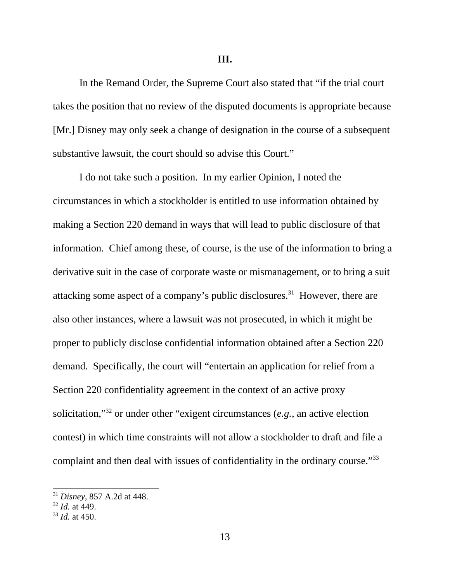**III.**

In the Remand Order, the Supreme Court also stated that "if the trial court takes the position that no review of the disputed documents is appropriate because [Mr.] Disney may only seek a change of designation in the course of a subsequent substantive lawsuit, the court should so advise this Court."

I do not take such a position. In my earlier Opinion, I noted the circumstances in which a stockholder is entitled to use information obtained by making a Section 220 demand in ways that will lead to public disclosure of that information. Chief among these, of course, is the use of the information to bring a derivative suit in the case of corporate waste or mismanagement, or to bring a suit attacking some aspect of a company's public disclosures.<sup>31</sup> However, there are also other instances, where a lawsuit was not prosecuted, in which it might be proper to publicly disclose confidential information obtained after a Section 220 demand. Specifically, the court will "entertain an application for relief from a Section 220 confidentiality agreement in the context of an active proxy solicitation,"32 or under other "exigent circumstances (*e.g.,* an active election contest) in which time constraints will not allow a stockholder to draft and file a complaint and then deal with issues of confidentiality in the ordinary course."<sup>33</sup>

<sup>31</sup> *Disney*, 857 A.2d at 448.

<sup>32</sup> *Id.* at 449.

<sup>33</sup> *Id.* at 450.